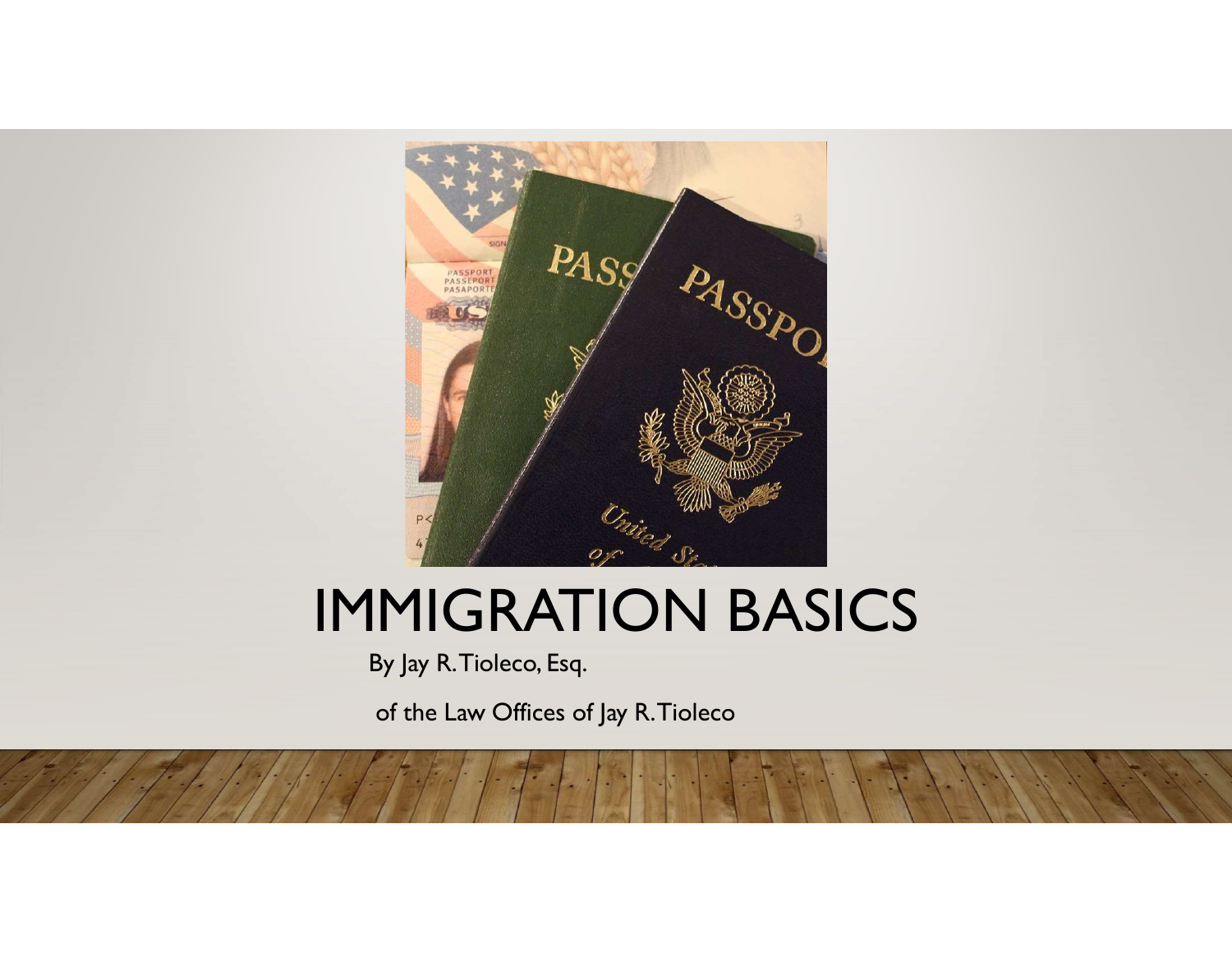

# IMMIGRATION BASICS

By Jay R. Tioleco, Esq.

of the Law Offices of Jay R. Tioleco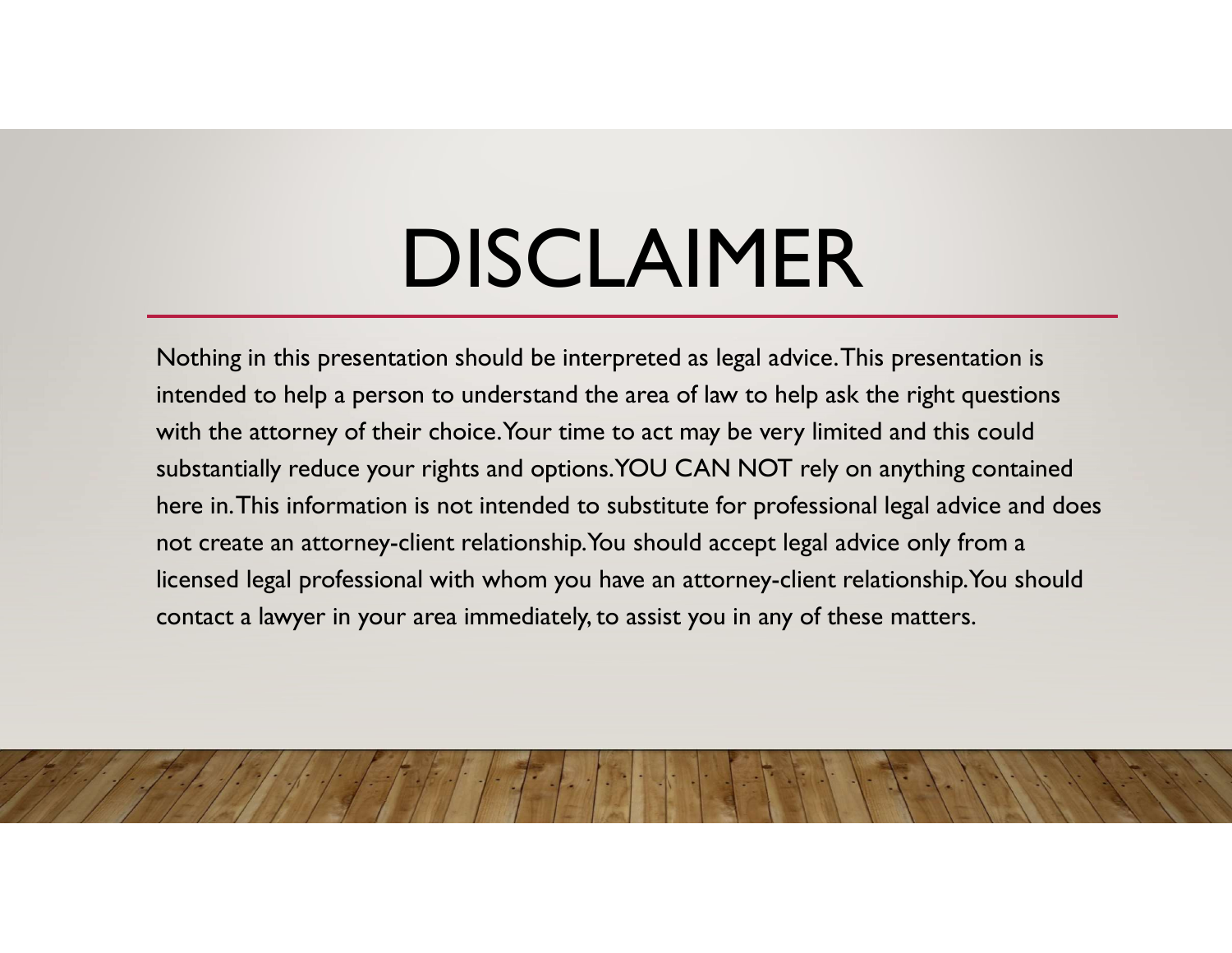# DISCLAIMER

Nothing in this presentation should be interpreted as legal advice. This presentation is intended to help a person to understand the area of law to help ask the right questions with the attorney of their choice. Your time to act may be very limited and this could substantially reduce your rights and options. YOU CAN NOT rely on anything contained here in. This information is not intended to substitute for professional legal advice and does not create an attorney-client relationship. You should accept legal advice only from a licensed legal professional with whom you have an attorney-client relationship. You should contact a lawyer in your area immediately, to assist you in any of these matters.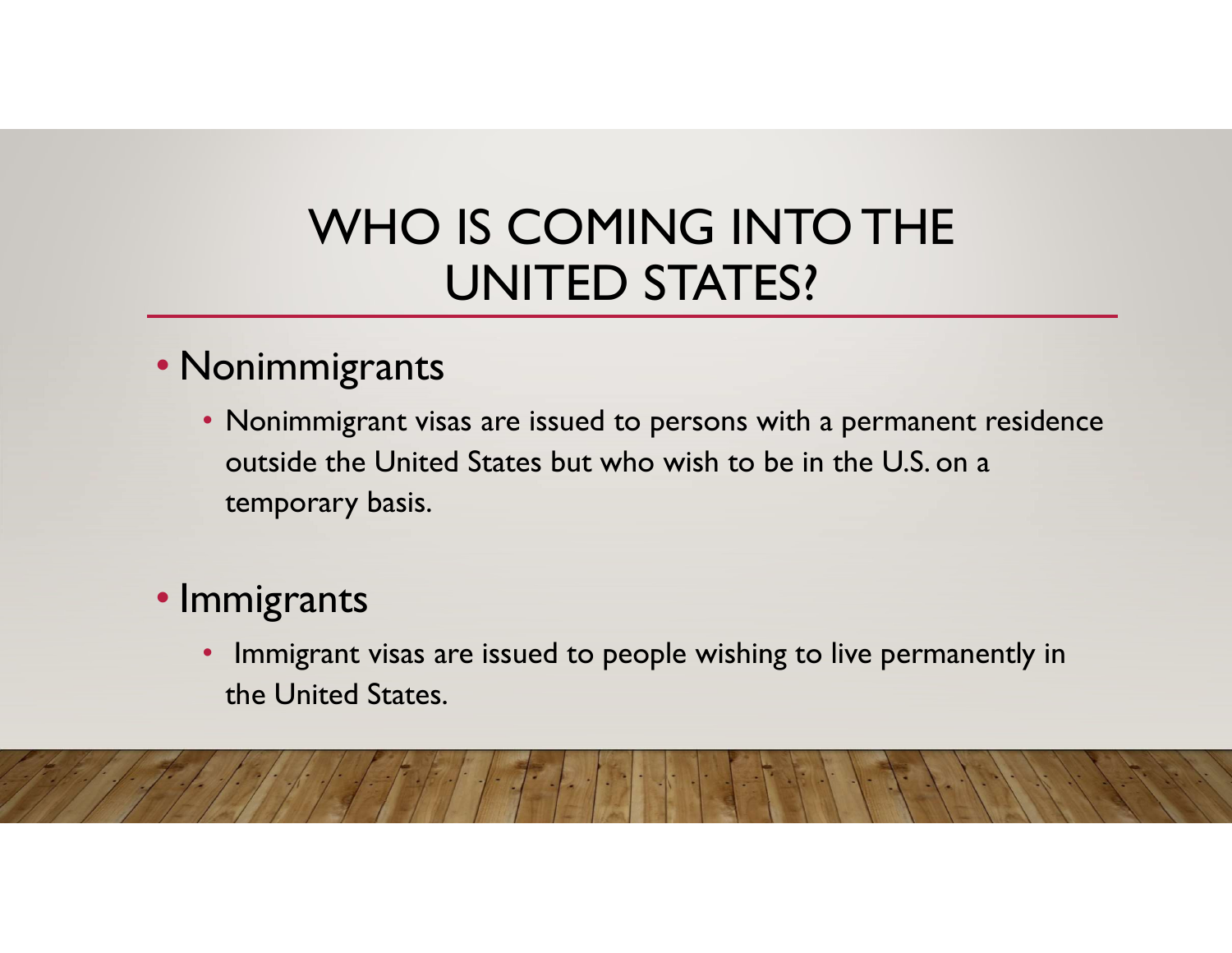### WHO IS COMING INTO THE UNITED STATES?

#### • Nonimmigrants

• Nonimmigrant visas are issued to persons with a permanent residence outside the United States but who wish to be in the U.S. on a temporary basis.

#### • Immigrants

• Immigrant visas are issued to people wishing to live permanently in the United States.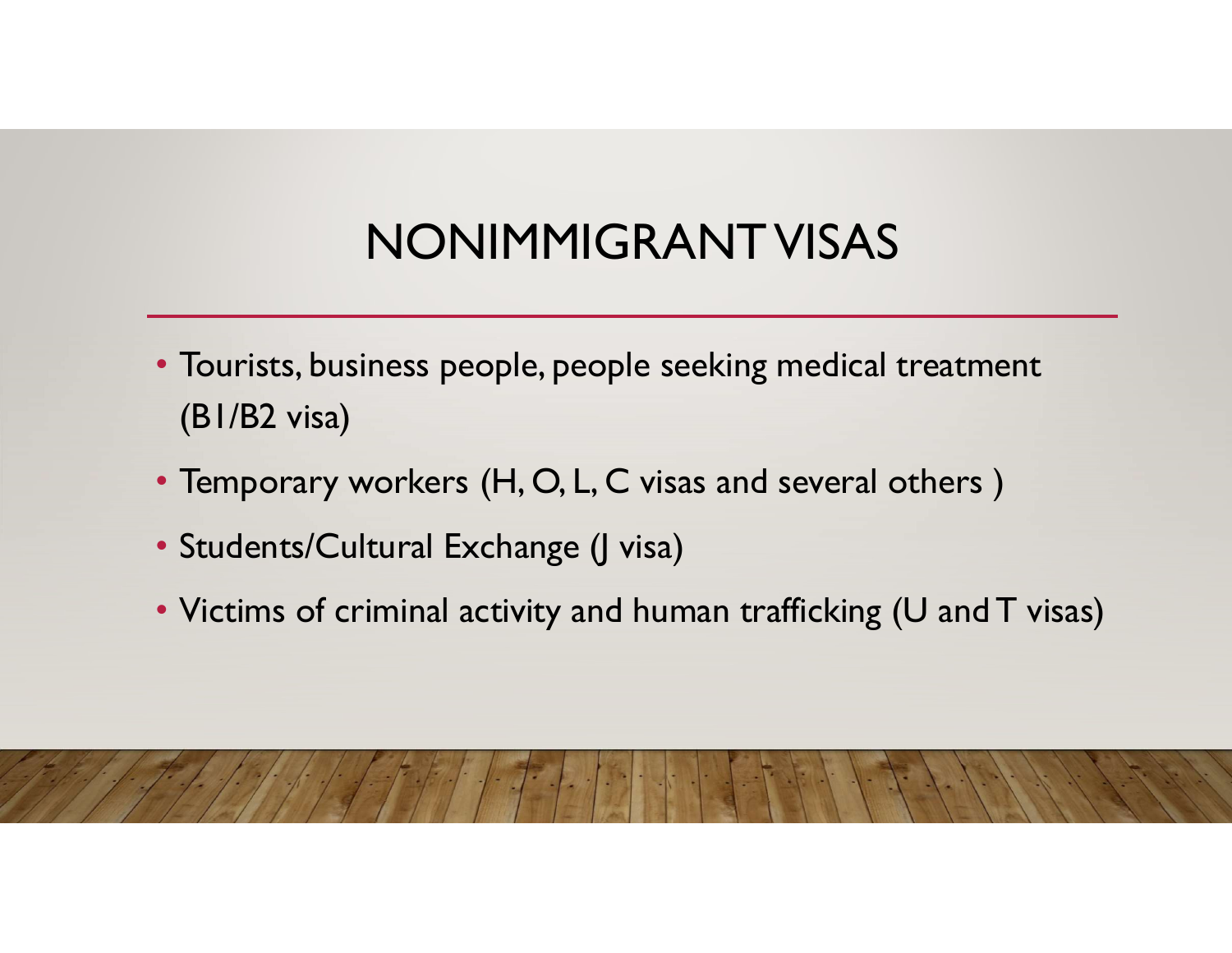# NONIMMIGRANT VISAS

- Tourists, business people, people seeking medical treatment (B1/B2 visa)
- Temporary workers (H, O, L, C visas and several others )
- Students/Cultural Exchange (J visa)
- Victims of criminal activity and human trafficking (U and T visas)

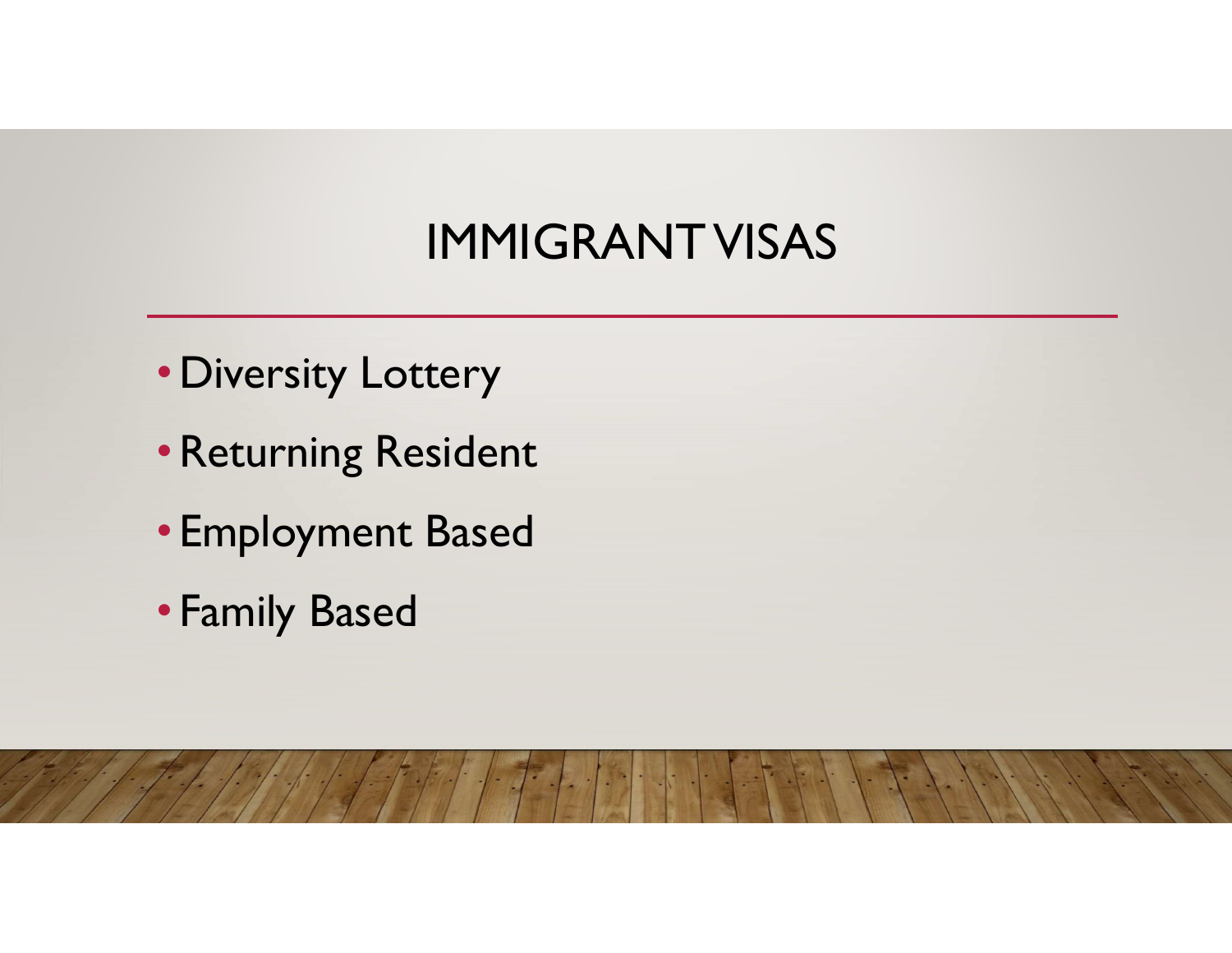# IMMIGRANT VISAS

- •Diversity Lottery
- •Returning Resident
- Employment Based
- Family Based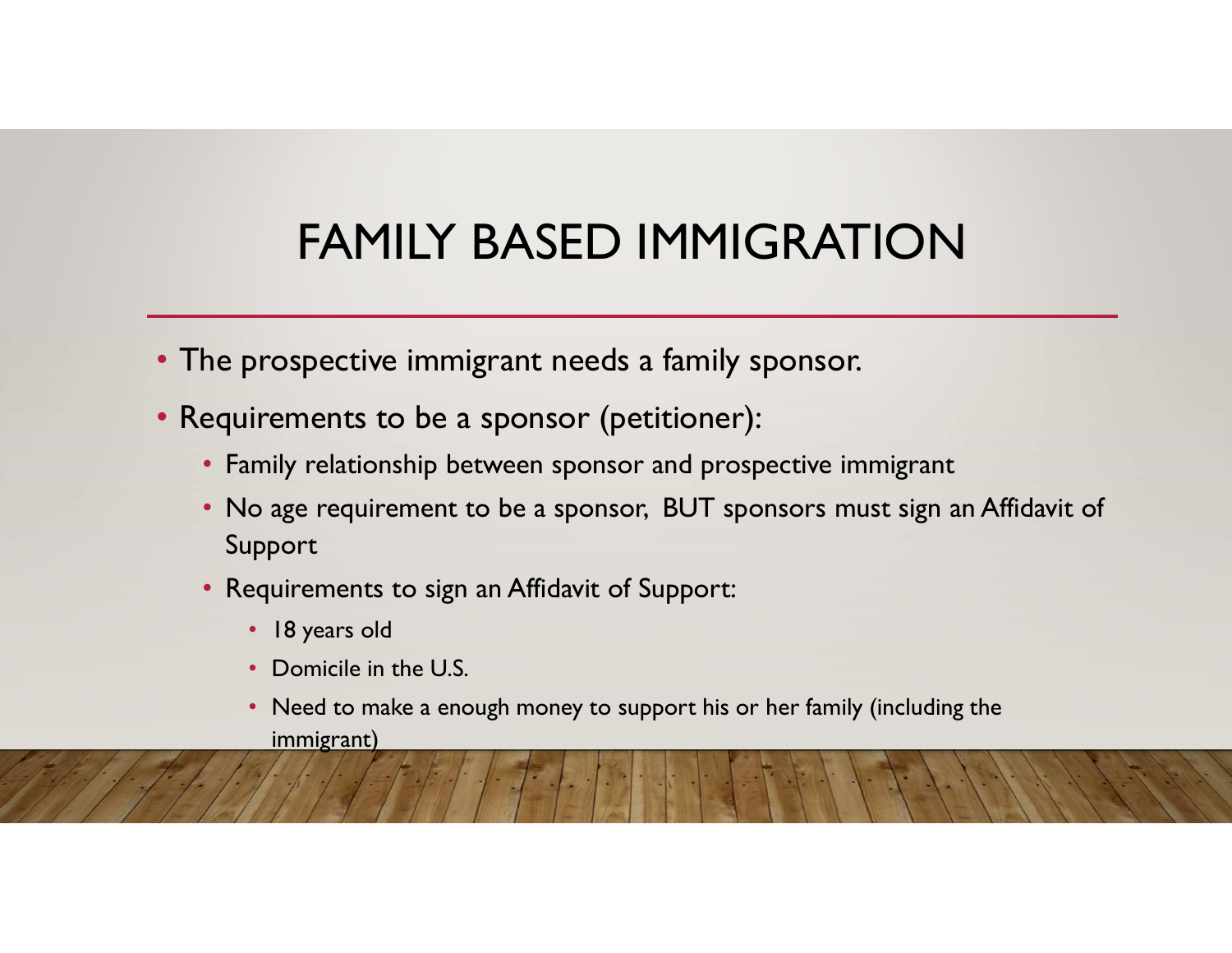# FAMILY BASED IMMIGRATION

- The prospective immigrant needs a family sponsor.
- Requirements to be a sponsor (petitioner):
	- Family relationship between sponsor and prospective immigrant
	- No age requirement to be a sponsor, BUT sponsors must sign an Affidavit of Support
	- Requirements to sign an Affidavit of Support:
		- 18 years old
		- Domicile in the U.S.
		- Need to make a enough money to support his or her family (including the immigrant)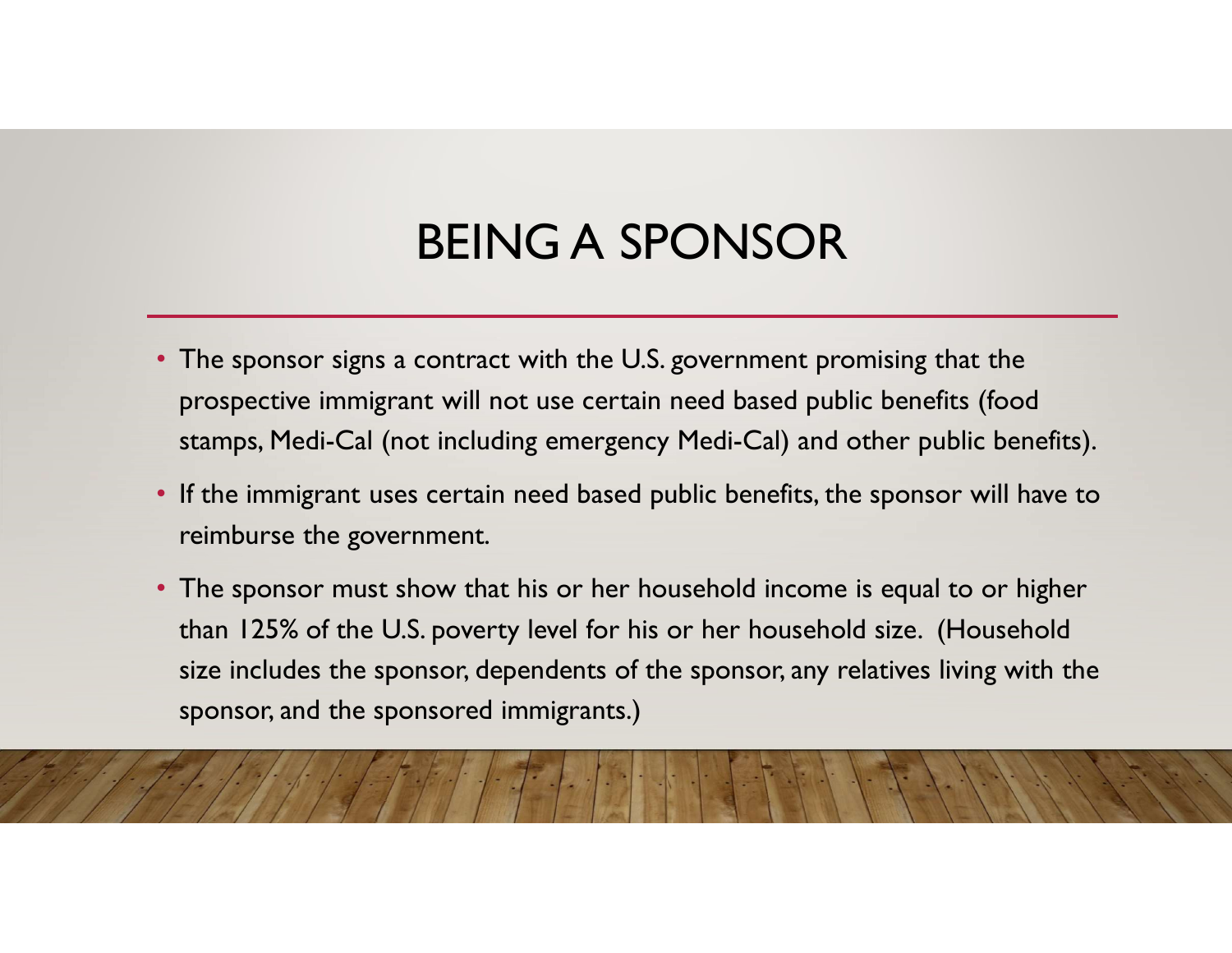# BEING A SPONSOR

- The sponsor signs a contract with the U.S. government promising that the prospective immigrant will not use certain need based public benefits (food stamps, Medi-Cal (not including emergency Medi-Cal) and other public benefits).
- If the immigrant uses certain need based public benefits, the sponsor will have to reimburse the government.
- The sponsor must show that his or her household income is equal to or higher **BEING A SPONSOR**<br>The sponsor signs a contract with the U.S. government promising that the<br>prospective immigrant will not use certain need based public benefits (food<br>stamps, Medi-Cal (not including emergency Medi-Cal) and size includes the sponsor, dependents of the sponsor, any relatives living with the sponsor, and the sponsored immigrants.)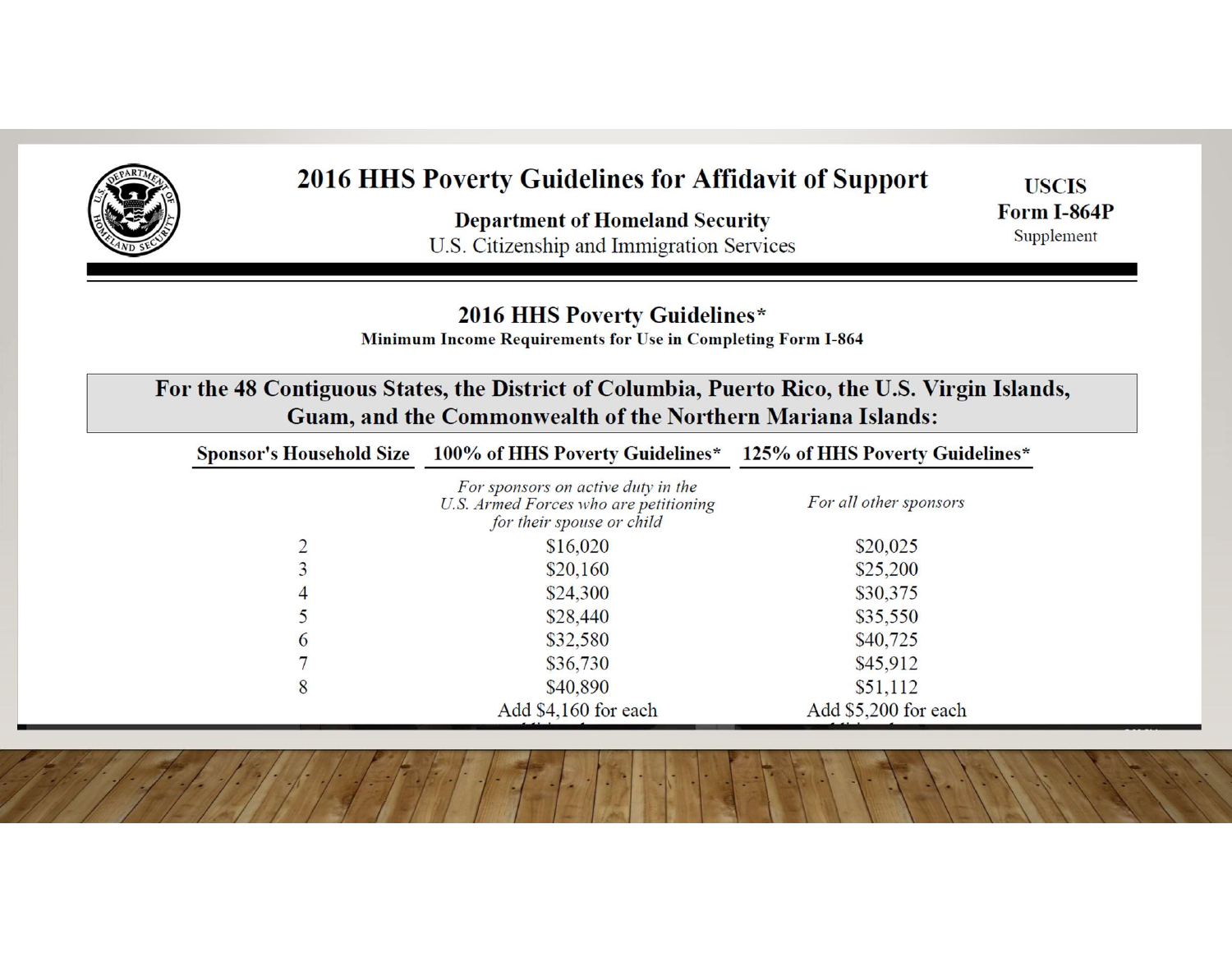

#### 2016 HHS Poverty Guidelines for Affidavit of Support

**Department of Homeland Security** U.S. Citizenship and Immigration Services

**USCIS Form I-864P** Supplement

#### 2016 HHS Poverty Guidelines\*

Minimum Income Requirements for Use in Completing Form I-864

| For the 48 Contiguous States, the District of Columbia, Puerto Rico, the U.S. Virgin Islands, |
|-----------------------------------------------------------------------------------------------|
| <b>Guam, and the Commonwealth of the Northern Mariana Islands:</b>                            |

| <b>Sponsor's Household Size</b> | 100% of HHS Poverty Guidelines*                                                                          | 125% of HHS Poverty Guidelines* |
|---------------------------------|----------------------------------------------------------------------------------------------------------|---------------------------------|
|                                 | For sponsors on active duty in the<br>U.S. Armed Forces who are petitioning<br>for their spouse or child | For all other sponsors          |
|                                 | \$16,020                                                                                                 | \$20,025                        |
|                                 | \$20,160                                                                                                 | \$25,200                        |
| 4                               | \$24,300                                                                                                 | \$30,375                        |
|                                 | \$28,440                                                                                                 | \$35,550                        |
| $\mathbf 6$                     | \$32,580                                                                                                 | \$40,725                        |
|                                 | \$36,730                                                                                                 | \$45,912                        |
| 8                               | \$40,890                                                                                                 | \$51,112                        |
|                                 | Add \$4,160 for each                                                                                     | Add \$5,200 for each            |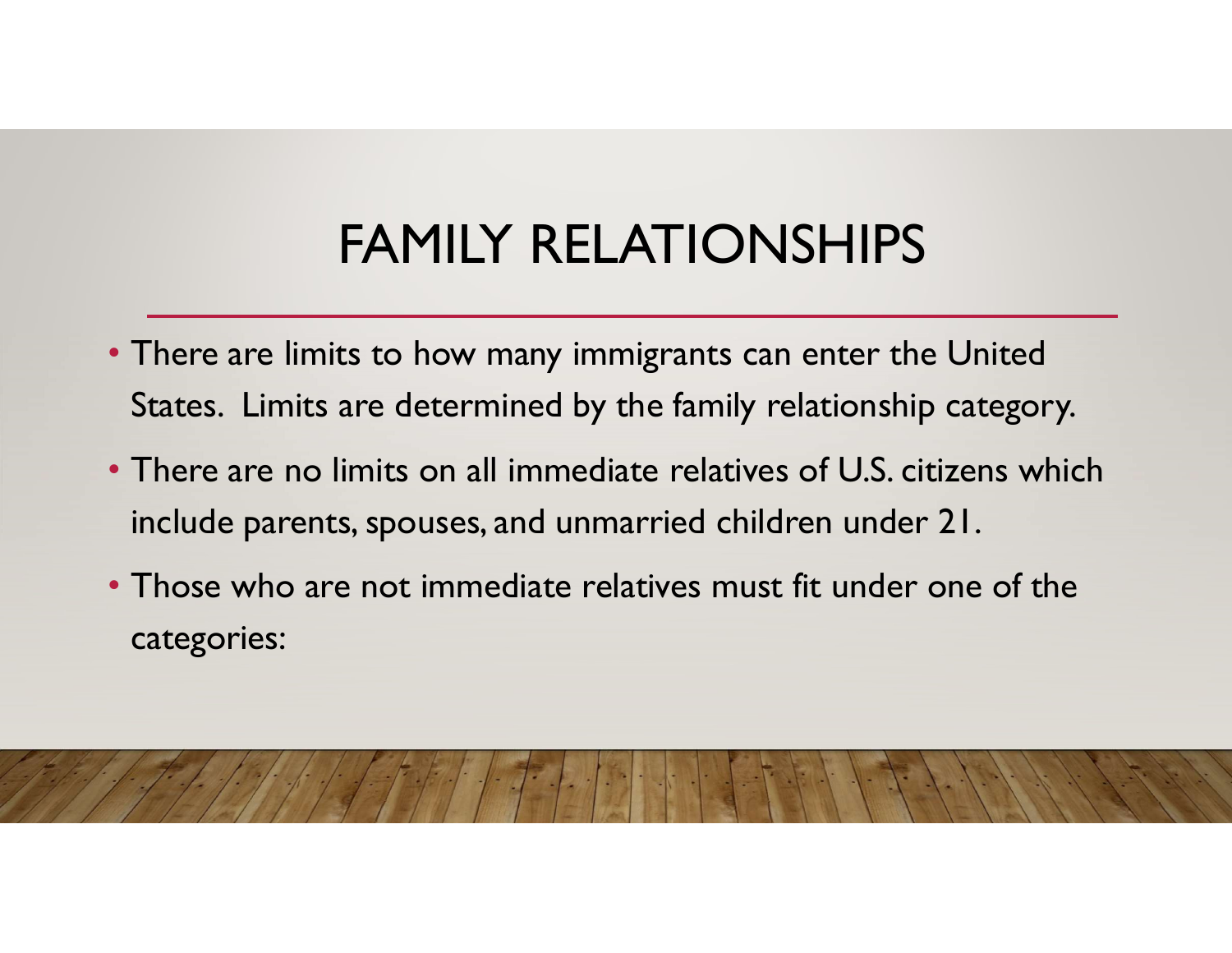# FAMILY RELATIONSHIPS

- There are limits to how many immigrants can enter the United States. Limits are determined by the family relationship category.
- There are no limits on all immediate relatives of U.S. citizens which include parents, spouses, and unmarried children under 21.
- Those who are not immediate relatives must fit under one of the categories: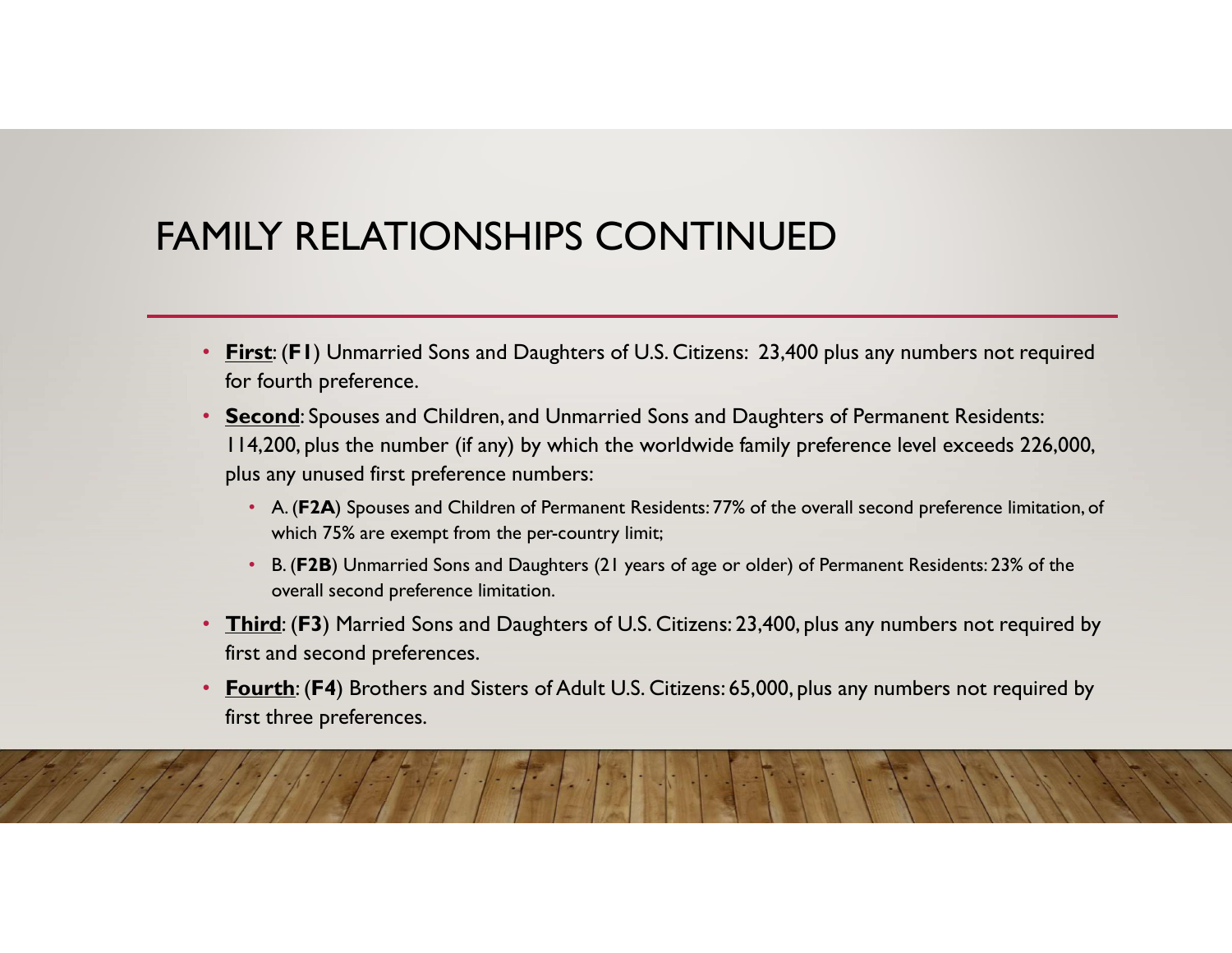#### FAMILY RELATIONSHIPS CONTINUED

- for fourth preference.
- First: (F1) Unmarried Sons and Daughters of U.S. Citizens: 23,400 plus any numbers not required<br>
First: (F1) Unmarried Sons and Daughters of U.S. Citizens: 23,400 plus any numbers not required<br>
Second: Spouses and Ch • Second: Spouses and Children, and Unmarried Sons and Daughters of Permanent Residents: 114,200, plus the number (if any) by which the worldwide family preference level exceeds 226,000, plus any unused first preference numbers: **EXAGE ARELATIONSHIPS CONTINUED**<br>Fig. (F1) Unmarried Sons and Daughters of U.S. Citizens: 23,400 plus any numbers not required<br>fourth preference.<br>4,200, plus the number (if any) by which the worldwide family preference lev
	- which 75% are exempt from the per-country limit;
	- B. (F2B) Unmarried Sons and Daughters (21 years of age or older) of Permanent Residents: 23% of the overall second preference limitation.
- Third: (F3) Married Sons and Daughters of U.S. Citizens: 23,400, plus any numbers not required by first and second preferences.
- Fourth: (F4) Brothers and Sisters of Adult U.S. Citizens: 65,000, plus any numbers not required by first three preferences.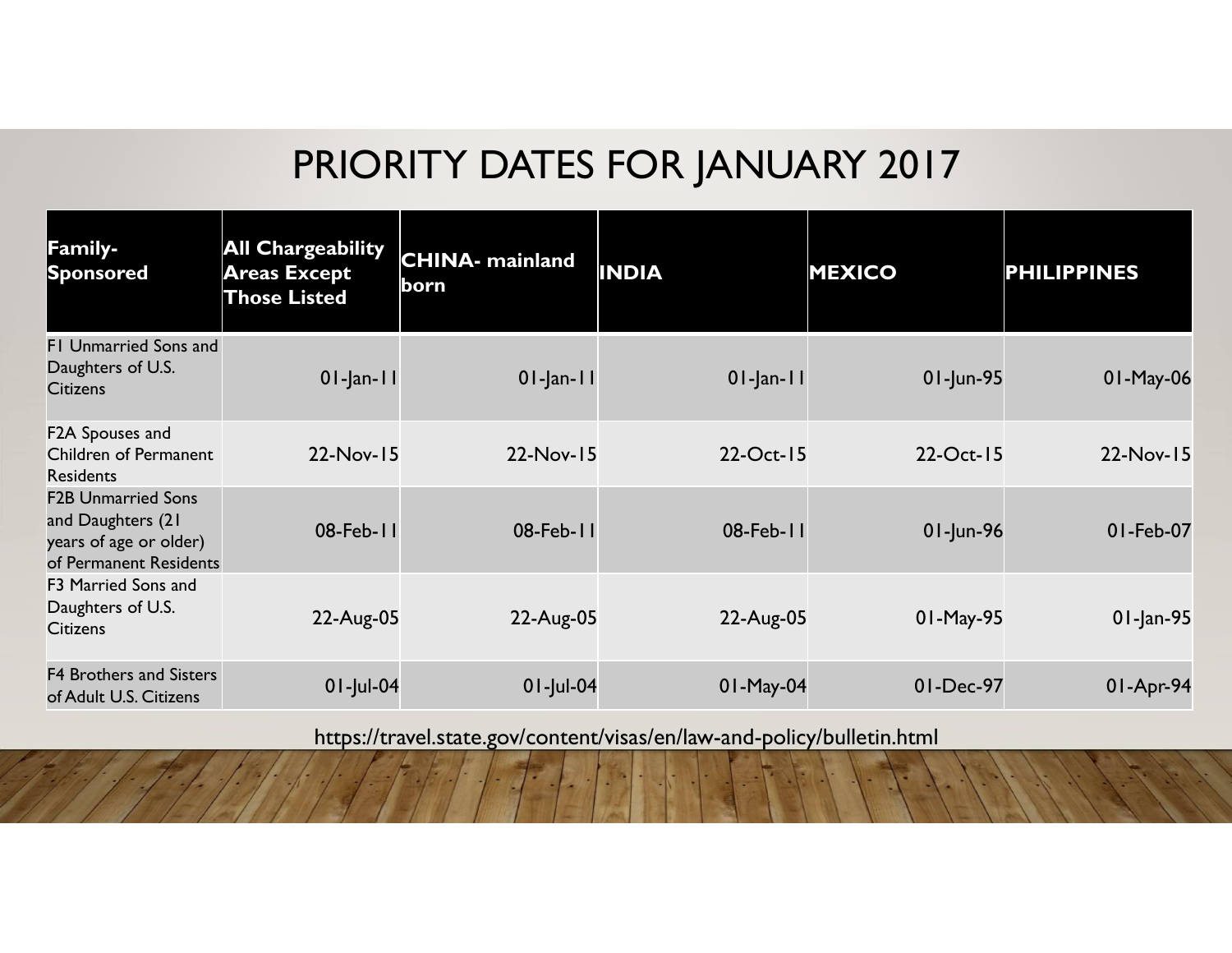#### PRIORITY DATES FOR JANUARY 2017

|                                                                                                    |                                                                        |                                 | <b>PRIORITY DATES FOR JANUARY 2017</b> |                        |                    |  |  |  |  |  |  |
|----------------------------------------------------------------------------------------------------|------------------------------------------------------------------------|---------------------------------|----------------------------------------|------------------------|--------------------|--|--|--|--|--|--|
| <b>Family-</b><br>Sponsored                                                                        | <b>All Chargeability</b><br><b>Areas Except</b><br><b>Those Listed</b> | <b>CHINA-</b> mainland<br> born | <b>INDIA</b>                           | <b>MEXICO</b>          | <b>PHILIPPINES</b> |  |  |  |  |  |  |
| FI Unmarried Sons and<br>Daughters of U.S.<br><b>Citizens</b>                                      | $01$ -Jan-II                                                           | $01$ -Jan-II                    | $01$ -Jan-II                           | 01-Jun-95              | 01-May-06          |  |  |  |  |  |  |
| F2A Spouses and<br>Children of Permanent<br><b>Residents</b>                                       | 22-Nov-15                                                              | 22-Nov-15                       | 22-Oct-15                              | 22-Oct-15              | 22-Nov-15          |  |  |  |  |  |  |
| <b>F2B Unmarried Sons</b><br>and Daughters (21<br>years of age or older)<br>of Permanent Residents | 08-Feb-11                                                              | 08-Feb-11                       | 08-Feb-11                              | $01$ -Jun-96           | 01-Feb-07          |  |  |  |  |  |  |
| F3 Married Sons and<br>Daughters of U.S.<br><b>Citizens</b>                                        | 22-Aug-05                                                              | 22-Aug-05                       | 22-Aug-05                              | 01-May-95              | 01-Jan-95          |  |  |  |  |  |  |
|                                                                                                    |                                                                        |                                 |                                        | 01-May-04<br>01-Dec-97 | 01-Apr-94          |  |  |  |  |  |  |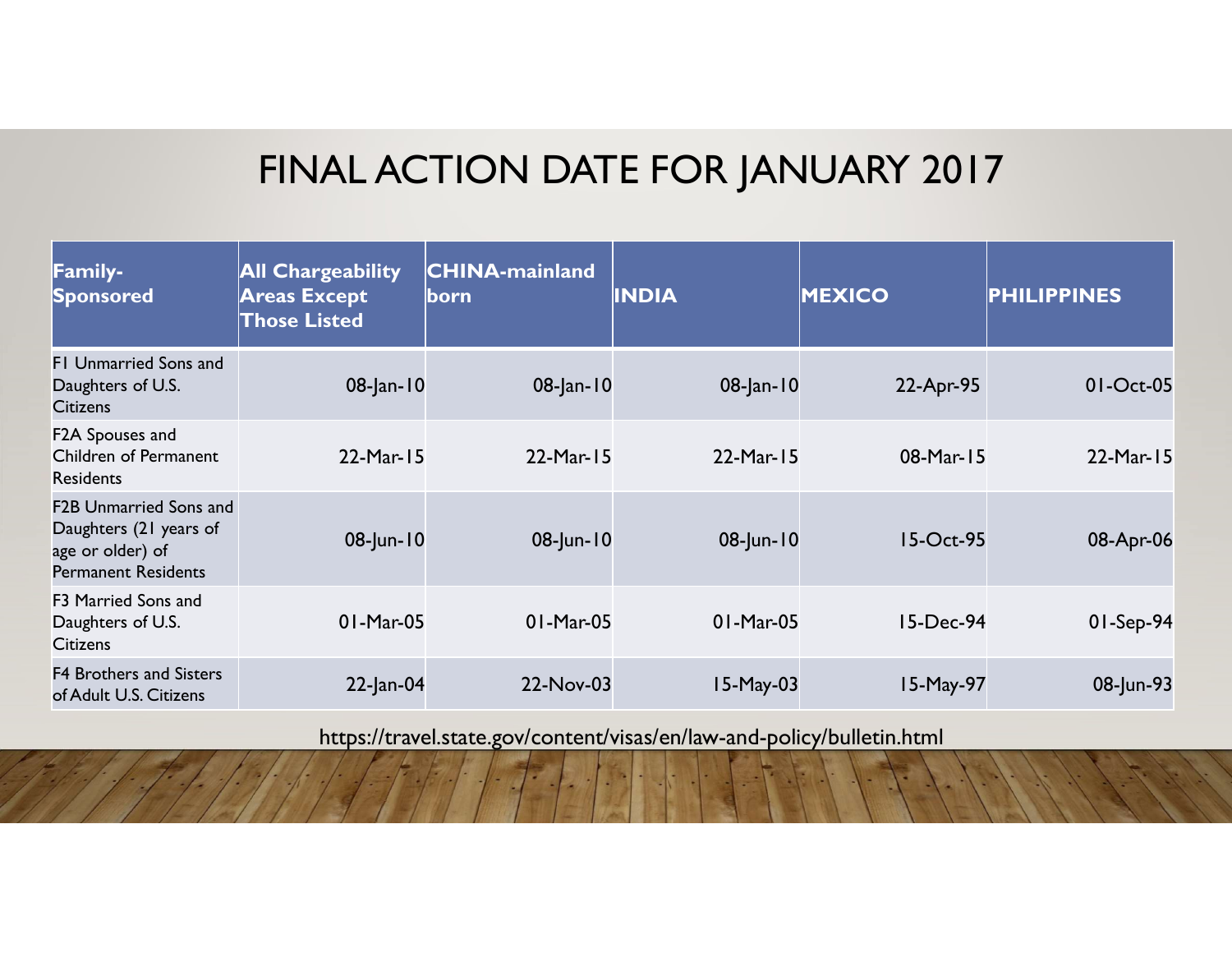#### FINAL ACTION DATE FOR JANUARY 2017

|                                                                                                           |                                                                        |                                       | FINAL ACTION DATE FOR JANUARY 2017 |               |                    |  |  |  |  |  |
|-----------------------------------------------------------------------------------------------------------|------------------------------------------------------------------------|---------------------------------------|------------------------------------|---------------|--------------------|--|--|--|--|--|
| Family-<br><b>Sponsored</b>                                                                               | <b>All Chargeability</b><br><b>Areas Except</b><br><b>Those Listed</b> | <b>CHINA-mainland</b><br><u> born</u> | <b>INDIA</b>                       | <b>MEXICO</b> | <b>PHILIPPINES</b> |  |  |  |  |  |
| FI Unmarried Sons and<br>Daughters of U.S.<br><b>Citizens</b>                                             | 08-Jan-10                                                              | 08-Jan-10                             | 08-Jan-10                          | 22-Apr-95     | 01-Oct-05          |  |  |  |  |  |
| F2A Spouses and<br>Children of Permanent<br><b>Residents</b>                                              | 22-Mar-15                                                              | 22-Mar-15                             | 22-Mar-15                          | 08-Mar-15     | 22-Mar-15          |  |  |  |  |  |
| <b>F2B Unmarried Sons and</b><br>Daughters (21 years of<br>age or older) of<br><b>Permanent Residents</b> | 08-Jun-10                                                              | 08-Jun-10                             | 08-Jun-10                          | 15-Oct-95     | 08-Apr-06          |  |  |  |  |  |
| F3 Married Sons and<br>Daughters of U.S.<br><b>Citizens</b>                                               | 01-Mar-05                                                              | 01-Mar-05                             | 01-Mar-05                          | 15-Dec-94     | 01-Sep-94          |  |  |  |  |  |
|                                                                                                           | $22$ -Jan-04                                                           | 22-Nov-03                             | 15-May-03                          | 15-May-97     | 08-Jun-93          |  |  |  |  |  |